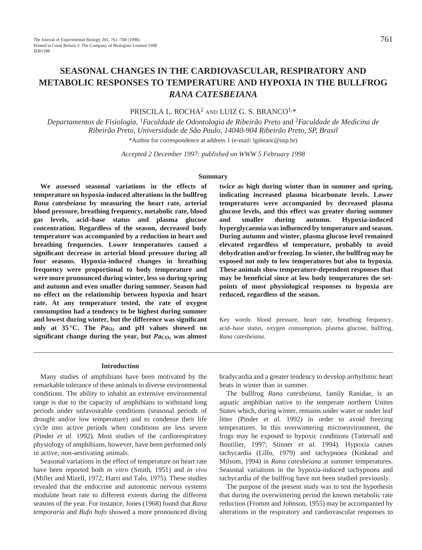# **SEASONAL CHANGES IN THE CARDIOVASCULAR, RESPIRATORY AND METABOLIC RESPONSES TO TEMPERATURE AND HYPOXIA IN THE BULLFROG** *RANA CATESBEIANA*

# PRISCILA L. ROCHA<sup>2</sup> AND LUIZ G. S. BRANCO1,\*

*Departamentos de Fisiologia,* 1*Faculdade de Odontologia de Ribeirão Preto* and <sup>2</sup>*Faculdade de Medicina de Ribeirão Preto, Universidade de São Paulo, 14040-904 Ribeirão Preto, SP, Brasil* \*Author for correspondence at address 1 (e-mail: lgsbranc@usp.br)

*Accepted 2 December 1997: published on WWW 5 February 1998*

#### **Summary**

**We assessed seasonal variations in the effects of temperature on hypoxia-induced alterations in the bullfrog** *Rana catesbeiana* **by measuring the heart rate, arterial blood pressure, breathing frequency, metabolic rate, blood gas levels, acid–base status and plasma glucose concentration. Regardless of the season, decreased body temperature was accompanied by a reduction in heart and breathing frequencies. Lower temperatures caused a significant decrease in arterial blood pressure during all four seasons. Hypoxia-induced changes in breathing frequency were proportional to body temperature and were more pronounced during winter, less so during spring and autumn and even smaller during summer. Season had no effect on the relationship between hypoxia and heart rate. At any temperature tested, the rate of oxygen consumption had a tendency to be highest during summer and lowest during winter, but the difference was significant** only at  $35^{\circ}$ C. The  $Pa_{O_2}$  and pH values showed no significant change during the year, but  $PaCO<sub>2</sub>$  was almost

**twice as high during winter than in summer and spring, indicating increased plasma bicarbonate levels. Lower temperatures were accompanied by decreased plasma glucose levels, and this effect was greater during summer and smaller during autumn. Hypoxia-induced hyperglycaemia was influenced by temperature and season. During autumn and winter, plasma glucose level remained elevated regardless of temperature, probably to avoid dehydration and/or freezing. In winter, the bullfrog may be exposed not only to low temperatures but also to hypoxia. These animals show temperature-dependent responses that may be beneficial since at low body temperatures the setpoints of most physiological responses to hypoxia are reduced, regardless of the season.**

Key words: blood pressure, heart rate, breathing frequency, acid–base status, oxygen consumption, plasma glucose, bullfrog, *Rana catesbeiana*.

#### **Introduction**

Many studies of amphibians have been motivated by the remarkable tolerance of these animals to diverse environmental conditions. The ability to inhabit an extensive environmental range is due to the capacity of amphibians to withstand long periods under unfavourable conditions (seasonal periods of drought and/or low temperature) and to condense their life cycle into active periods when conditions are less severe (Pinder *et al.* 1992). Most studies of the cardiorespiratory physiology of amphibians, however, have been performed only in active, non-aestivating animals.

Seasonal variations in the effect of temperature on heart rate have been reported both *in vitro* (Smith, 1951) and *in vivo* (Miller and Mizell, 1972; Harri and Talo, 1975). These studies revealed that the endocrine and autonomic nervous systems modulate heart rate to different extents during the different seasons of the year. For instance, Jones (1968) found that *Rana temporaria* and *Bufo bufo* showed a more pronounced diving bradycardia and a greater tendency to develop arrhythmic heart beats in winter than in summer.

The bullfrog *Rana catesbeiana*, family Ranidae, is an aquatic amphibian native to the temperate northern Unites States which, during winter, remains under water or under leaf litter (Pinder *et al.* 1992) in order to avoid freezing temperatures. In this overwintering microenvironment, the frogs may be exposed to hypoxic conditions (Tattersall and Boutilier, 1997; Stinner *et al.* 1994). Hypoxia causes tachycardia (Lillo, 1979) and tachypnoea (Kinkead and Milsom, 1994) in *Rana catesbeiana* at summer temperatures. Seasonal variations in the hypoxia-induced tachypnoea and tachycardia of the bullfrog have not been studied previously.

The purpose of the present study was to test the hypothesis that during the overwintering period the known metabolic rate reduction (Fromm and Johnson, 1955) may be accompanied by alterations in the respiratory and cardiovascular responses to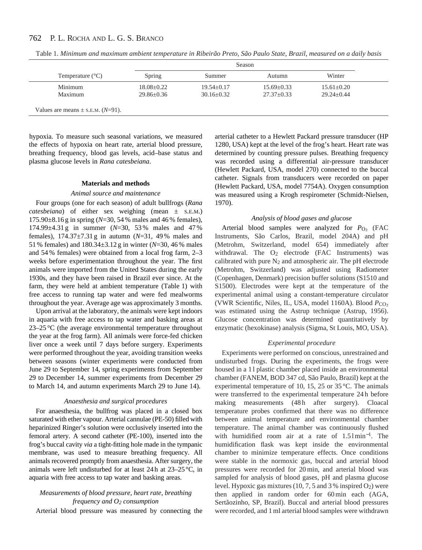|                                           | Season           |                  |                |                  |  |
|-------------------------------------------|------------------|------------------|----------------|------------------|--|
| Temperature $(^{\circ}C)$                 | Spring           | Summer           | Autumn         | Winter           |  |
| Minimum                                   | $18.08 + 0.22$   | $19.54 \pm 0.17$ | $15.69 + 0.33$ | $15.61 \pm 0.20$ |  |
| Maximum                                   | $29.86 \pm 0.36$ | $30.16 + 0.32$   | $27.37+0.33$   | $29.24 + 0.44$   |  |
| Values are means $\pm$ s.E.M. ( $N=91$ ). |                  |                  |                |                  |  |

Table 1. *Minimum and maximum ambient temperature in Ribeirão Preto, São Paulo State, Brazil, measured on a daily basis*

hypoxia. To measure such seasonal variations, we measured the effects of hypoxia on heart rate, arterial blood pressure, breathing frequency, blood gas levels, acid–base status and plasma glucose levels in *Rana catesbeiana*.

#### **Materials and methods**

## *Animal source and maintenance*

Four groups (one for each season) of adult bullfrogs (*Rana catesbeiana*) of either sex weighing (mean ± S.E.M.) 175.90±8.16 g in spring (*N*=30, 54 % males and 46 % females), 174.99±4.31 g in summer (*N*=30, 53 % males and 47 % females), 174.37±7.31 g in autumn (*N*=31, 49 % males and 51 % females) and 180.34±3.12 g in winter (*N*=30, 46 % males and 54 % females) were obtained from a local frog farm, 2–3 weeks before experimentation throughout the year. The first animals were imported from the United States during the early 1930s, and they have been raised in Brazil ever since. At the farm, they were held at ambient temperature (Table 1) with free access to running tap water and were fed mealworms throughout the year. Average age was approximately 3 months.

Upon arrival at the laboratory, the animals were kept indoors in aquaria with free access to tap water and basking areas at 23–25 °C (the average environmental temperature throughout the year at the frog farm). All animals were force-fed chicken liver once a week until 7 days before surgery. Experiments were performed throughout the year, avoiding transition weeks between seasons (winter experiments were conducted from June 29 to September 14, spring experiments from September 29 to December 14, summer experiments from December 29 to March 14, and autumn experiments March 29 to June 14).

#### *Anaesthesia and surgical procedures*

For anaesthesia, the bullfrog was placed in a closed box saturated with ether vapour. Arterial cannulae (PE-50) filled with heparinized Ringer's solution were occlusively inserted into the femoral artery. A second catheter (PE-100), inserted into the frog's buccal cavity *via* a tight-fitting hole made in the tympanic membrane, was used to measure breathing frequency. All animals recovered promptly from anaesthesia. After surgery, the animals were left undisturbed for at least 24 h at 23–25 °C, in aquaria with free access to tap water and basking areas.

# *Measurements of blood pressure, heart rate, breathing frequency and O2 consumption*

Arterial blood pressure was measured by connecting the

arterial catheter to a Hewlett Packard pressure transducer (HP 1280, USA) kept at the level of the frog's heart. Heart rate was determined by counting pressure pulses. Breathing frequency was recorded using a differential air-pressure transducer (Hewlett Packard, USA, model 270) connected to the buccal catheter. Signals from transducers were recorded on paper (Hewlett Packard, USA, model 7754A). Oxygen consumption was measured using a Krogh respirometer (Schmidt-Nielsen, 1970).

## *Analysis of blood gases and glucose*

Arterial blood samples were analyzed for  $P_{\text{O}_2}$  (FAC Instruments, São Carlos, Brazil, model 204A) and pH (Metrohm, Switzerland, model 654) immediately after withdrawal. The  $O_2$  electrode (FAC Instruments) was calibrated with pure  $N_2$  and atmospheric air. The pH electrode (Metrohm, Switzerland) was adjusted using Radiometer (Copenhagen, Denmark) precision buffer solutions (S1510 and S1500). Electrodes were kept at the temperature of the experimental animal using a constant-temperature circulator (VWR Scientific, Niles, IL, USA, model 1160A). Blood  $P_{CO_2}$ was estimated using the Astrup technique (Astrup, 1956). Glucose concentration was determined quantitatively by enzymatic (hexokinase) analysis (Sigma, St Louis, MO, USA).

#### *Experimental procedure*

Experiments were performed on conscious, unrestrained and undisturbed frogs. During the experiments, the frogs were housed in a 1 l plastic chamber placed inside an environmental chamber (FANEM, BOD 347 cd, São Paulo, Brazil) kept at the experimental temperature of 10, 15, 25 or 35 °C. The animals were transferred to the experimental temperature 24 h before making measurements (48h after surgery). Cloacal temperature probes confirmed that there was no difference between animal temperature and environmental chamber temperature. The animal chamber was continuously flushed with humidified room air at a rate of  $1.51$  min<sup>-1</sup>. The humidification flask was kept inside the environmental chamber to minimize temperature effects. Once conditions were stable in the normoxic gas, buccal and arterial blood pressures were recorded for 20 min, and arterial blood was sampled for analysis of blood gases, pH and plasma glucose level. Hypoxic gas mixtures  $(10, 7, 5, 5)$  and 3% inspired  $O_2$ ) were then applied in random order for 60 min each (AGA, Sertãozinho, SP, Brazil). Buccal and arterial blood pressures were recorded, and 1 ml arterial blood samples were withdrawn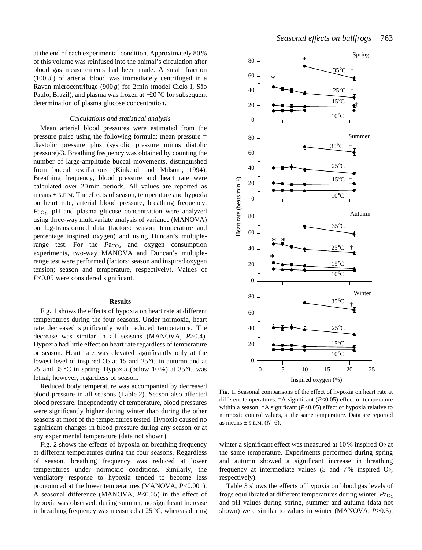at the end of each experimental condition. Approximately 80 % of this volume was reinfused into the animal's circulation after blood gas measurements had been made. A small fraction  $(100 \,\mu$ ) of arterial blood was immediately centrifuged in a Ravan microcentrifuge (900g) for 2 min (model Ciclo I, São Paulo, Brazil), and plasma was frozen at −20 °C for subsequent determination of plasma glucose concentration.

#### *Calculations and statistical analysis*

Mean arterial blood pressures were estimated from the pressure pulse using the following formula: mean pressure = diastolic pressure plus (systolic pressure minus diatolic pressure)/3. Breathing frequency was obtained by counting the number of large-amplitude buccal movements, distinguished from buccal oscillations (Kinkead and Milsom, 1994). Breathing frequency, blood pressure and heart rate were calculated over 20 min periods. All values are reported as means  $\pm$  S.E.M. The effects of season, temperature and hypoxia on heart rate, arterial blood pressure, breathing frequency, *Pa*<sub>O2</sub>, pH and plasma glucose concentration were analyzed using three-way multivariate analysis of variance (MANOVA) on log-transformed data (factors: season, temperature and percentage inspired oxygen) and using Duncan's multiplerange test. For the  $Pa_{CO<sub>2</sub>}$  and oxygen consumption experiments, two-way MANOVA and Duncan's multiplerange test were performed (factors: season and inspired oxygen tension; season and temperature, respectively). Values of *P*<0.05 were considered significant.

#### **Results**

Fig. 1 shows the effects of hypoxia on heart rate at different temperatures during the four seasons. Under normoxia, heart rate decreased significantly with reduced temperature. The decrease was similar in all seasons (MANOVA, *P*>0.4). Hypoxia had little effect on heart rate regardless of temperature or season. Heart rate was elevated significantly only at the lowest level of inspired  $O_2$  at 15 and 25 °C in autumn and at 25 and 35 °C in spring. Hypoxia (below 10 %) at 35 °C was lethal, however, regardless of season.

Reduced body temperature was accompanied by decreased blood pressure in all seasons (Table 2). Season also affected blood pressure. Independently of temperature, blood pressures were significantly higher during winter than during the other seasons at most of the temperatures tested. Hypoxia caused no significant changes in blood pressure during any season or at any experimental temperature (data not shown).

Fig. 2 shows the effects of hypoxia on breathing frequency at different temperatures during the four seasons. Regardless of season, breathing frequency was reduced at lower temperatures under normoxic conditions. Similarly, the ventilatory response to hypoxia tended to become less pronounced at the lower temperatures (MANOVA, *P*<0.001). A seasonal difference (MANOVA, *P*<0.05) in the effect of hypoxia was observed: during summer, no significant increase in breathing frequency was measured at 25 °C, whereas during



Fig. 1. Seasonal comparisons of the effect of hypoxia on heart rate at different temperatures. †A significant (*P*<0.05) effect of temperature within a season. \*A significant  $(P<0.05)$  effect of hypoxia relative to normoxic control values, at the same temperature. Data are reported as means  $\pm$  s.E.M. ( $N=6$ ).

winter a significant effect was measured at  $10\%$  inspired  $O_2$  at the same temperature. Experiments performed during spring and autumn showed a significant increase in breathing frequency at intermediate values  $(5 \text{ and } 7\% \text{ inspired } O_2)$ , respectively).

Table 3 shows the effects of hypoxia on blood gas levels of frogs equilibrated at different temperatures during winter. Pa<sub>O2</sub> and pH values during spring, summer and autumn (data not shown) were similar to values in winter (MANOVA, *P*>0.5).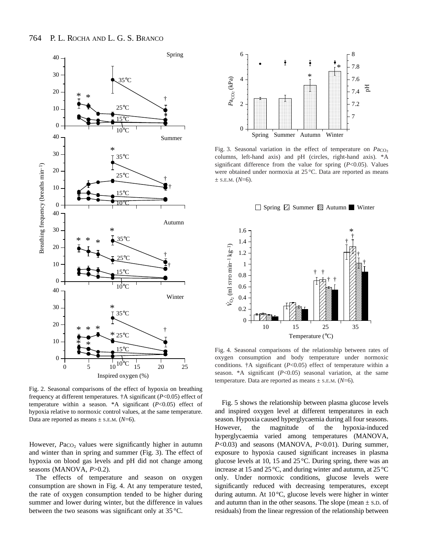

Fig. 2. Seasonal comparisons of the effect of hypoxia on breathing frequency at different temperatures. †A significant (*P*<0.05) effect of temperature within a season. \*A significant (*P*<0.05) effect of hypoxia relative to normoxic control values, at the same temperature. Data are reported as means  $\pm$  s.e.m. ( $N=6$ ).

However,  $Pa_{CO_2}$  values were significantly higher in autumn and winter than in spring and summer (Fig. 3). The effect of hypoxia on blood gas levels and pH did not change among seasons (MANOVA, *P*>0.2).

The effects of temperature and season on oxygen consumption are shown in Fig. 4. At any temperature tested, the rate of oxygen consumption tended to be higher during summer and lower during winter, but the difference in values between the two seasons was significant only at 35 °C.



Fig. 3. Seasonal variation in the effect of temperature on  $PaCO<sub>2</sub>$ columns, left-hand axis) and pH (circles, right-hand axis). \*A significant difference from the value for spring (*P*<0.05). Values were obtained under normoxia at 25 °C. Data are reported as means  $\pm$  S.E.M. (*N*=6).





Fig. 4. Seasonal comparisons of the relationship between rates of oxygen consumption and body temperature under normoxic conditions.  $\ddagger$ A significant ( $P$ <0.05) effect of temperature within a season. \*A significant (*P*<0.05) seasonal variation, at the same temperature. Data are reported as means  $\pm$  s.e.m. ( $N=6$ ).

Fig. 5 shows the relationship between plasma glucose levels and inspired oxygen level at different temperatures in each season. Hypoxia caused hyperglycaemia during all four seasons. However, the magnitude of the hypoxia-induced hyperglycaemia varied among temperatures (MANOVA, *P*<0.03) and seasons (MANOVA, *P*<0.01). During summer, exposure to hypoxia caused significant increases in plasma glucose levels at 10, 15 and 25 °C. During spring, there was an increase at 15 and 25 °C, and during winter and autumn, at 25 °C only. Under normoxic conditions, glucose levels were significantly reduced with decreasing temperatures, except during autumn. At 10 °C, glucose levels were higher in winter and autumn than in the other seasons. The slope (mean  $\pm$  s.D. of residuals) from the linear regression of the relationship between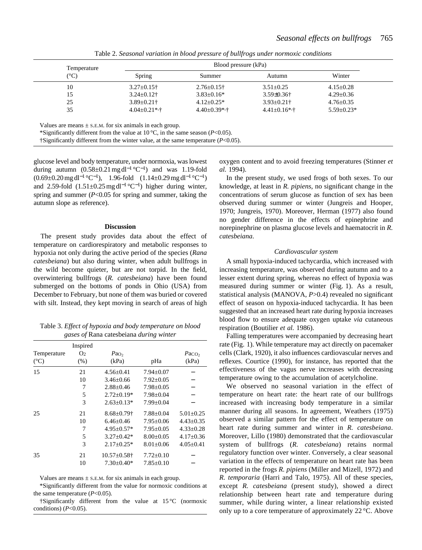| Temperature<br>(°C) |                     | Blood pressure (kPa) |                     |                  |  |
|---------------------|---------------------|----------------------|---------------------|------------------|--|
|                     | Spring              | Summer               | Autumn              | Winter           |  |
| 10                  | $3.27 \pm 0.15$ †   | $2.76 \pm 0.15$ †    | $3.51 \pm 0.25$     | $4.15 \pm 0.28$  |  |
| 15                  | $3.24 \pm 0.12$ †   | $3.83 \pm 0.16*$     | $3.59 \pm 0.36$ †   | $4.29 \pm 0.36$  |  |
| 25                  | $3.89 \pm 0.21$ †   | $4.12 + 0.25*$       | $3.93 \pm 0.21$ †   | $4.76 \pm 0.35$  |  |
| 35                  | $4.04 \pm 0.21$ *,† | $4.40 \pm 0.39$ *,†  | $4.41 \pm 0.16$ *,† | $5.59 \pm 0.23*$ |  |

Table 2. *Seasonal variation in blood pressure of bullfrogs under normoxic conditions*

Values are means  $\pm$  s.E.M. for six animals in each group.

\*Significantly different from the value at 10 °C, in the same season (*P*<0.05).

†Significantly different from the winter value, at the same temperature (*P*<0.05).

glucose level and body temperature, under normoxia, was lowest during autumn  $(0.58\pm0.21 \text{ mg d}^{-1} {}^{\circ}\text{C}^{-1})$  and was 1.19-fold  $(0.69\pm0.20 \,\text{mg}\,\text{d}^{-1}\,{}^{\circ}\text{C}^{-1}),\quad 1.96\text{-fold} \quad (1.14\pm0.29 \,\text{mg}\,\text{d}^{-1}\,{}^{\circ}\text{C}^{-1})$ and 2.59-fold  $(1.51\pm0.25 \text{ mg d}^{-1} {}^{\circ}\text{C}^{-1})$  higher during winter, spring and summer (*P*<0.05 for spring and summer, taking the autumn slope as reference).

#### **Discussion**

The present study provides data about the effect of temperature on cardiorespiratory and metabolic responses to hypoxia not only during the active period of the species (*Rana catesbeiana*) but also during winter, when adult bullfrogs in the wild become quieter, but are not torpid. In the field, overwintering bullfrogs (*R. catesbeiana*) have been found submerged on the bottoms of ponds in Ohio (USA) from December to February, but none of them was buried or covered with silt. Instead, they kept moving in search of areas of high

Table 3. *Effect of hypoxia and body temperature on blood gases of* Rana catesbeiana *during winter*

|               | Inspired       |                    |                 |                   |
|---------------|----------------|--------------------|-----------------|-------------------|
| Temperature   | O <sub>2</sub> | Pa <sub>O</sub>    |                 | PaCO <sub>2</sub> |
| $(^{\circ}C)$ | $(\% )$        | (kPa)              | pHa             | (kPa)             |
| 15            | 21             | $4.56 \pm 0.41$    | $7.94 \pm 0.07$ |                   |
|               | 10             | $3.46 \pm 0.66$    | $7.92 \pm 0.05$ |                   |
|               | 7              | $2.88 + 0.46$      | $7.98 \pm 0.05$ |                   |
|               | 5              | $2.72 \pm 0.19*$   | $7.98 \pm 0.04$ |                   |
|               | 3              | $2.63 \pm 0.13*$   | $7.99 + 0.04$   |                   |
| 25            | 21             | $8.68 \pm 0.79$ †  | $7.88 + 0.04$   | $5.01 \pm 0.25$   |
|               | 10             | $6.46 + 0.46$      | $7.95+0.06$     | $4.43 \pm 0.35$   |
|               | 7              | $4.95 \pm 0.57*$   | $7.95 \pm 0.05$ | $4.33 \pm 0.28$   |
|               | 5              | $3.27 \pm 0.42*$   | $8.00 \pm 0.05$ | $4.17 \pm 0.36$   |
|               | 3              | $2.17 \pm 0.25*$   | $8.01 \pm 0.06$ | $4.05 \pm 0.41$   |
| 35            | 21             | $10.57 \pm 0.58$ † | $7.72 \pm 0.10$ |                   |
|               | 10             | $7.30 \pm 0.40*$   | $7.85 \pm 0.10$ |                   |

Values are means  $\pm$  s.e.m. for six animals in each group.

\*Significantly different from the value for normoxic conditions at the same temperature (*P*<0.05).

†Significantly different from the value at 15 °C (normoxic conditions) (*P*<0.05).

oxygen content and to avoid freezing temperatures (Stinner *et al.* 1994).

In the present study, we used frogs of both sexes. To our knowledge, at least in *R. pipiens*, no significant change in the concentrations of serum glucose as function of sex has been observed during summer or winter (Jungreis and Hooper, 1970; Jungreis, 1970). Moreover, Herman (1977) also found no gender difference in the effects of epinephrine and norepinephrine on plasma glucose levels and haematocrit in *R. catesbeiana*.

#### *Cardiovascular system*

A small hypoxia-induced tachycardia, which increased with increasing temperature, was observed during autumn and to a lesser extent during spring, whereas no effect of hypoxia was measured during summer or winter (Fig. 1). As a result, statistical analysis (MANOVA, *P*>0.4) revealed no significant effect of season on hypoxia-induced tachycardia. It has been suggested that an increased heart rate during hypoxia increases blood flow to ensure adequate oxygen uptake *via* cutaneous respiration (Boutilier *et al.* 1986).

Falling temperatures were accompanied by decreasing heart rate (Fig. 1). While temperature may act directly on pacemaker cells (Clark, 1920), it also influences cardiovascular nerves and reflexes. Courtice (1990), for instance, has reported that the effectiveness of the vagus nerve increases with decreasing temperature owing to the accumulation of acetylcholine.

We observed no seasonal variation in the effect of temperature on heart rate: the heart rate of our bullfrogs increased with increasing body temperature in a similar manner during all seasons. In agreement, Weathers (1975) observed a similar pattern for the effect of temperature on heart rate during summer and winter in *R. catesbeiana*. Moreover, Lillo (1980) demonstrated that the cardiovascular system of bullfrogs (*R. catesbeiana*) retains normal regulatory function over winter. Conversely, a clear seasonal variation in the effects of temperature on heart rate has been reported in the frogs *R. pipiens* (Miller and Mizell, 1972) and *R. temporaria* (Harri and Talo, 1975). All of these species, except *R. catesbeiana* (present study), showed a direct relationship between heart rate and temperature during summer, while during winter, a linear relationship existed only up to a core temperature of approximately 22 °C. Above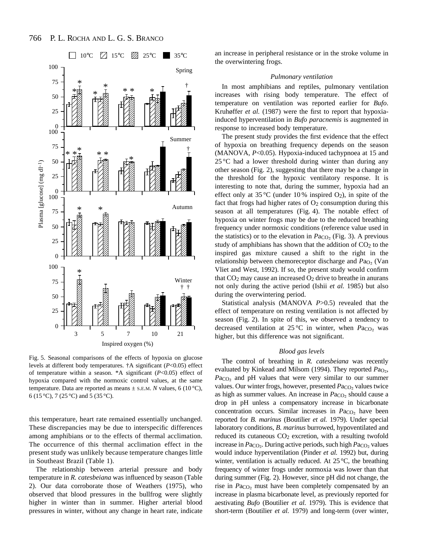

Fig. 5. Seasonal comparisons of the effects of hypoxia on glucose levels at different body temperatures. †A significant (*P*<0.05) effect of temperature within a season. \*A significant (*P*<0.05) effect of hypoxia compared with the normoxic control values, at the same temperature. Data are reported as means  $\pm$  s.e.m. *N* values, 6 (10 °C), 6 (15 °C), 7 (25 °C) and 5 (35 °C).

this temperature, heart rate remained essentially unchanged. These discrepancies may be due to interspecific differences among amphibians or to the effects of thermal acclimation. The occurrence of this thermal acclimation effect in the present study was unlikely because temperature changes little in Southeast Brazil (Table 1).

The relationship between arterial pressure and body temperature in *R. catesbeiana* was influenced by season (Table 2). Our data corroborate those of Weathers (1975), who observed that blood pressures in the bullfrog were slightly higher in winter than in summer. Higher arterial blood pressures in winter, without any change in heart rate, indicate an increase in peripheral resistance or in the stroke volume in the overwintering frogs.

# *Pulmonary ventilation*

In most amphibians and reptiles, pulmonary ventilation increases with rising body temperature. The effect of temperature on ventilation was reported earlier for *Bufo*. Kruhøffer *et al.* (1987) were the first to report that hypoxiainduced hyperventilation in *Bufo paracnemis* is augmented in response to increased body temperature.

The present study provides the first evidence that the effect of hypoxia on breathing frequency depends on the season (MANOVA, *P*<0.05). Hypoxia-induced tachypnoea at 15 and  $25^{\circ}$ C had a lower threshold during winter than during any other season (Fig. 2), suggesting that there may be a change in the threshold for the hypoxic ventilatory response. It is interesting to note that, during the summer, hypoxia had an effect only at 35 °C (under 10 % inspired  $O_2$ ), in spite of the fact that frogs had higher rates of  $O<sub>2</sub>$  consumption during this season at all temperatures (Fig. 4). The notable effect of hypoxia on winter frogs may be due to the reduced breathing frequency under normoxic conditions (reference value used in the statistics) or to the elevation in  $Pa<sub>CO<sub>2</sub></sub>$  (Fig. 3). A previous study of amphibians has shown that the addition of  $CO<sub>2</sub>$  to the inspired gas mixture caused a shift to the right in the relationship between chemoreceptor discharge and *P*a<sub>O2</sub> (Van Vliet and West, 1992). If so, the present study would confirm that  $CO<sub>2</sub>$  may cause an increased  $O<sub>2</sub>$  drive to breathe in anurans not only during the active period (Ishii *et al.* 1985) but also during the overwintering period.

Statistical analysis (MANOVA *P*>0.5) revealed that the effect of temperature on resting ventilation is not affected by season (Fig. 2). In spite of this, we observed a tendency to decreased ventilation at 25 °C in winter, when *P*a<sub>CO</sub>, was higher, but this difference was not significant.

# *Blood gas levels*

The control of breathing in *R. catesbeiana* was recently evaluated by Kinkead and Milsom (1994). They reported *P*a<sub>O</sub>, *Paco*<sub>2</sub> and pH values that were very similar to our summer values. Our winter frogs, however, presented *Paco*<sub>2</sub> values twice as high as summer values. An increase in *P*ac<sub>O2</sub> should cause a drop in pH unless a compensatory increase in bicarbonate concentration occurs. Similar increases in *Paco*<sub>2</sub> have been reported for *B. marinus* (Boutilier *et al.* 1979). Under special laboratory conditions, *B. marinus* burrowed, hypoventilated and reduced its cutaneous CO<sub>2</sub> excretion, with a resulting twofold increase in *P*a<sub>CO2</sub>. During active periods, such high *P*a<sub>CO2</sub> values would induce hyperventilation (Pinder *et al.* 1992) but, during winter, ventilation is actually reduced. At 25 °C, the breathing frequency of winter frogs under normoxia was lower than that during summer (Fig. 2). However, since pH did not change, the rise in *Paco*<sub>2</sub> must have been completely compensated by an increase in plasma bicarbonate level, as previously reported for aestivating *Bufo* (Boutilier *et al.* 1979). This is evidence that short-term (Boutilier *et al.* 1979) and long-term (over winter,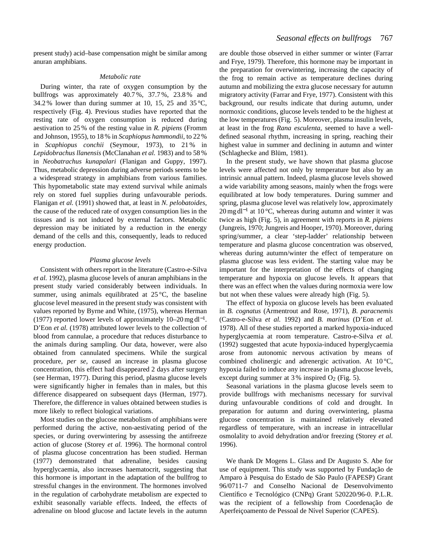present study) acid–base compensation might be similar among anuran amphibians.

#### *Metabolic rate*

During winter, tha rate of oxygen consumption by the bullfrogs was approximately 40.7 %, 37.7 %, 23.8 % and 34.2% lower than during summer at 10, 15, 25 and 35  $^{\circ}$ C, respectively (Fig. 4). Previous studies have reported that the resting rate of oxygen consumption is reduced during aestivation to 25 % of the resting value in *R. pipiens* (Fromm and Johnson, 1955), to 18 % in *Scaphiopus hammondii*, to 22 % in *Scaphiopus conchii* (Seymour, 1973), to 21 % in *Lepidobrachus llanensis* (McClanahan *et al.* 1983) and to 58 % in *Neobatrachus kunapalari* (Flanigan and Guppy, 1997). Thus, metabolic depression during adverse periods seems to be a widespread strategy in amphibians from various families. This hypometabolic state may extend survival while animals rely on stored fuel supplies during unfavourable periods. Flanigan *et al.* (1991) showed that, at least in *N. pelobatoides*, the cause of the reduced rate of oxygen consumption lies in the tissues and is not induced by external factors. Metabolic depression may be initiated by a reduction in the energy demand of the cells and this, consequently, leads to reduced energy production.

#### *Plasma glucose levels*

Consistent with others report in the literature (Castro-e-Silva *et al.* 1992), plasma glucose levels of anuran amphibians in the present study varied considerably between individuals. In summer, using animals equilibrated at  $25^{\circ}$ C, the baseline glucose level measured in the present study was consistent with values reported by Byrne and White, (1975), whereas Herman (1977) reported lower levels of approximately  $10-20$  mg dl<sup>-1</sup>. D'Eon *et al.* (1978) attributed lower levels to the collection of blood from cannulae, a procedure that reduces disturbance to the animals during sampling. Our data, however, were also obtained from cannulated specimens. While the surgical procedure, *per se*, caused an increase in plasma glucose concentration, this effect had disappeared 2 days after surgery (see Herman, 1977). During this period, plasma glucose levels were significantly higher in females than in males, but this difference disappeared on subsequent days (Herman, 1977). Therefore, the difference in values obtained between studies is more likely to reflect biological variations.

Most studies on the glucose metabolism of amphibians were performed during the active, non-aestivating period of the species, or during overwintering by assessing the antifreeze action of glucose (Storey *et al.* 1996). The hormonal control of plasma glucose concentration has been studied. Herman (1977) demonstrated that adrenaline, besides causing hyperglycaemia, also increases haematocrit, suggesting that this hormone is important in the adaptation of the bullfrog to stressful changes in the environment. The hormones involved in the regulation of carbohydrate metabolism are expected to exhibit seasonally variable effects. Indeed, the effects of adrenaline on blood glucose and lactate levels in the autumn are double those observed in either summer or winter (Farrar and Frye, 1979). Therefore, this hormone may be important in the preparation for overwintering, increasing the capacity of the frog to remain active as temperature declines during autumn and mobilizing the extra glucose necessary for autumn migratory activity (Farrar and Frye, 1977). Consistent with this background, our results indicate that during autumn, under normoxic conditions, glucose levels tended to be the highest at the low temperatures (Fig. 5). Moreover, plasma insulin levels, at least in the frog *Rana esculenta*, seemed to have a welldefined seasonal rhythm, increasing in spring, reaching their highest value in summer and declining in autumn and winter (Schlaghecke and Blüm, 1981).

In the present study, we have shown that plasma glucose levels were affected not only by temperature but also by an intrinsic annual pattern. Indeed, plasma glucose levels showed a wide variability among seasons, mainly when the frogs were equilibrated at low body temperatures. During summer and spring, plasma glucose level was relatively low, approximately 20 mg dl<sup>-1</sup> at 10 °C, whereas during autumn and winter it was twice as high (Fig. 5), in agreement with reports in *R. pipiens* (Jungreis, 1970; Jungreis and Hooper, 1970). Moreover, during spring/summer, a clear 'step-ladder' relationship between temperature and plasma glucose concentration was observed, whereas during autumn/winter the effect of temperature on plasma glucose was less evident. The starting value may be important for the interpretation of the effects of changing temperature and hypoxia on glucose levels. It appears that there was an effect when the values during normoxia were low but not when these values were already high (Fig. 5).

The effect of hypoxia on glucose levels has been evaluated in *B. cognatus* (Armentrout and Rose, 1971), *B*. *paracnemis* (Castro-e-Silva *et al.* 1992) and *B. marinus* (D'Eon *et al.* 1978). All of these studies reported a marked hypoxia-induced hyperglycaemia at room temperature. Castro-e-Silva *et al.* (1992) suggested that acute hypoxia-induced hyperglycaemia arose from autonomic nervous activation by means of combined cholinergic and adrenergic activation. At  $10^{\circ}$ C, hypoxia failed to induce any increase in plasma glucose levels, except during summer at  $3\%$  inspired  $O_2$  (Fig. 5).

Seasonal variations in the plasma glucose levels seem to provide bullfrogs with mechanisms necessary for survival during unfavourable conditions of cold and drought. In preparation for autumn and during overwintering, plasma glucose concentration is maintained relatively elevated regardless of temperature, with an increase in intracellular osmolality to avoid dehydration and/or freezing (Storey *et al.* 1996).

We thank Dr Mogens L. Glass and Dr Augusto S. Abe for use of equipment. This study was supported by Fundação de Amparo à Pesquisa do Estado de São Paulo (FAPESP) Grant 96/0711-7 and Conselho Nacional de Desenvolvimento Científico e Tecnológico (CNPq) Grant 520220/96-0. P.L.R. was the recipient of a fellowship from Coordenação de Aperfeiçoamento de Pessoal de Nível Superior (CAPES).